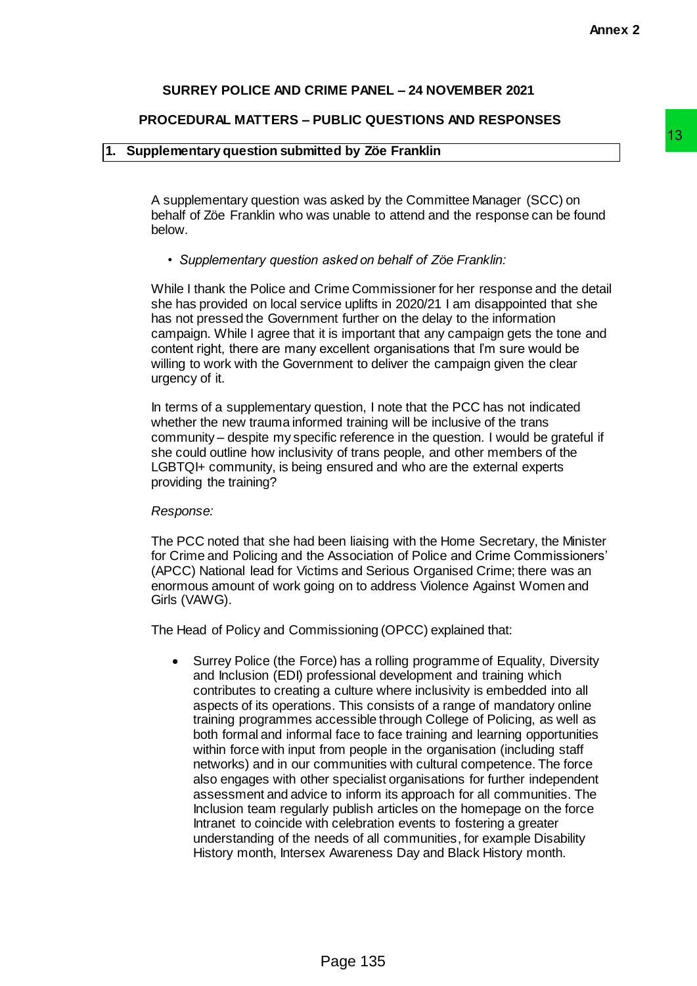## **SURREY POLICE AND CRIME PANEL – 24 NOVEMBER 2021**

### **PROCEDURAL MATTERS – PUBLIC QUESTIONS AND RESPONSES**

# **1. Supplementary question submitted by Zöe Franklin**

A supplementary question was asked by the Committee Manager (SCC) on behalf of Zöe Franklin who was unable to attend and the response can be found below.

### *• Supplementary question asked on behalf of Zöe Franklin:*

While I thank the Police and Crime Commissioner for her response and the detail she has provided on local service uplifts in 2020/21 I am disappointed that she has not pressed the Government further on the delay to the information campaign. While I agree that it is important that any campaign gets the tone and content right, there are many excellent organisations that I'm sure would be willing to work with the Government to deliver the campaign given the clear urgency of it.

In terms of a supplementary question, I note that the PCC has not indicated whether the new trauma informed training will be inclusive of the trans community – despite my specific reference in the question. I would be grateful if she could outline how inclusivity of trans people, and other members of the LGBTQI+ community, is being ensured and who are the external experts providing the training?

### *Response:*

The PCC noted that she had been liaising with the Home Secretary, the Minister for Crime and Policing and the Association of Police and Crime Commissioners' (APCC) National lead for Victims and Serious Organised Crime; there was an enormous amount of work going on to address Violence Against Women and Girls (VAWG).

The Head of Policy and Commissioning (OPCC) explained that:

• Surrey Police (the Force) has a rolling programme of Equality, Diversity and Inclusion (EDI) professional development and training which contributes to creating a culture where inclusivity is embedded into all aspects of its operations. This consists of a range of mandatory online training programmes accessible through College of Policing, as well as both formal and informal face to face training and learning opportunities within force with input from people in the organisation (including staff networks) and in our communities with cultural competence. The force also engages with other specialist organisations for further independent assessment and advice to inform its approach for all communities. The Inclusion team regularly publish articles on the homepage on the force Intranet to coincide with celebration events to fostering a greater understanding of the needs of all communities, for example Disability History month, Intersex Awareness Day and Black History month. ted by Zöe Franklin<br>
sasked by the Committee Manager (SCC) on<br>
sasked by the Committee Manager (SCC) on<br>
sunable to attend and the response can be found<br>
asked on behalf of Zöe Franklin:<br>
the commissioner for her response